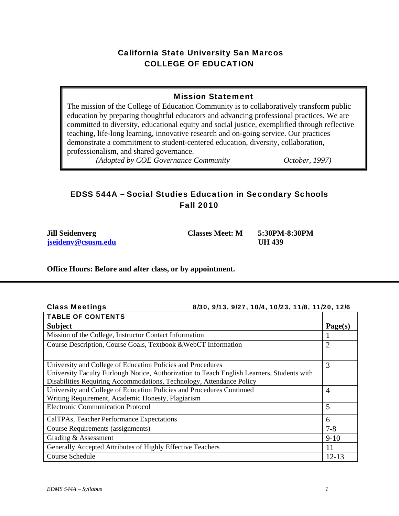# California State University San Marcos COLLEGE OF EDUCATION

# Mission Statement

The mission of the College of Education Community is to collaboratively transform public education by preparing thoughtful educators and advancing professional practices. We are committed to diversity, educational equity and social justice, exemplified through reflective teaching, life-long learning, innovative research and on-going service. Our practices demonstrate a commitment to student-centered education, diversity, collaboration, professionalism, and shared governance.

*(Adopted by COE Governance Community October, 1997)* 

# EDSS 544A – Social Studies Education in Secondary Schools Fall 2010

**Jill Seidenverg Classes Meet: M 5:30PM-8:30PM jseidenv@csusm.edu UH 439** 

### **Office Hours: Before and after class, or by appointment.**

| <b>Class Meetings</b> | 8/30, 9/13, 9/27, 10/4, 10/23, 11/8, 11/20, 12/6 |
|-----------------------|--------------------------------------------------|
|                       |                                                  |

| <b>TABLE OF CONTENTS</b>                                                                   |           |  |
|--------------------------------------------------------------------------------------------|-----------|--|
| <b>Subject</b>                                                                             |           |  |
| Mission of the College, Instructor Contact Information                                     |           |  |
| Course Description, Course Goals, Textbook & WebCT Information                             |           |  |
|                                                                                            |           |  |
| University and College of Education Policies and Procedures                                |           |  |
| University Faculty Furlough Notice, Authorization to Teach English Learners, Students with |           |  |
| Disabilities Requiring Accommodations, Technology, Attendance Policy                       |           |  |
| University and College of Education Policies and Procedures Continued                      |           |  |
| Writing Requirement, Academic Honesty, Plagiarism                                          |           |  |
| <b>Electronic Communication Protocol</b>                                                   |           |  |
| CalTPAs, Teacher Performance Expectations                                                  |           |  |
| Course Requirements (assignments)                                                          |           |  |
| Grading & Assessment                                                                       |           |  |
| Generally Accepted Attributes of Highly Effective Teachers                                 |           |  |
| Course Schedule                                                                            | $12 - 13$ |  |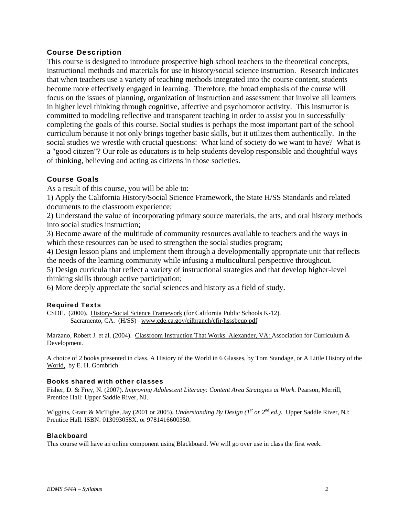### Course Description

This course is designed to introduce prospective high school teachers to the theoretical concepts, instructional methods and materials for use in history/social science instruction. Research indicates that when teachers use a variety of teaching methods integrated into the course content, students become more effectively engaged in learning. Therefore, the broad emphasis of the course will focus on the issues of planning, organization of instruction and assessment that involve all learners in higher level thinking through cognitive, affective and psychomotor activity. This instructor is committed to modeling reflective and transparent teaching in order to assist you in successfully completing the goals of this course. Social studies is perhaps the most important part of the school curriculum because it not only brings together basic skills, but it utilizes them authentically. In the social studies we wrestle with crucial questions: What kind of society do we want to have? What is a "good citizen"? Our role as educators is to help students develop responsible and thoughtful ways of thinking, believing and acting as citizens in those societies.

### Course Goals

As a result of this course, you will be able to:

1) Apply the California History/Social Science Framework, the State H/SS Standards and related documents to the classroom experience;

2) Understand the value of incorporating primary source materials, the arts, and oral history methods into social studies instruction;

3) Become aware of the multitude of community resources available to teachers and the ways in which these resources can be used to strengthen the social studies program;

4) Design lesson plans and implement them through a developmentally appropriate unit that reflects the needs of the learning community while infusing a multicultural perspective throughout.

5) Design curricula that reflect a variety of instructional strategies and that develop higher-level thinking skills through active participation;

6) More deeply appreciate the social sciences and history as a field of study.

### Required Texts

CSDE. (2000). History-Social Science Framework (for California Public Schools K-12). Sacramento, CA. (H/SS) www.cde.ca.gov/cilbranch/cfir/hsssbeup.pdf

Marzano, Robert J. et al. (2004). Classroom Instruction That Works. Alexander, VA: Association for Curriculum & Development.

World, by E. H. Gombrich. A choice of 2 books presented in class. A History of the World in 6 Glasses, by Tom Standage, or A Little History of the

#### Books shared with other classes

 Fisher, D. & Frey, N. (2007). *Improving Adolescent Literacy: Content Area Strategies at Work.* Pearson, Merrill, Prentice Hall: Upper Saddle River, NJ.

 Wiggins, Grant & McTighe, Jay (2001 or 2005). *Understanding By Design (1st or 2nd ed.).* Upper Saddle River, NJ: Prentice Hall. ISBN: 013093058X. or 9781416600350.

#### **Blackboard**

This course will have an online component using Blackboard. We will go over use in class the first week.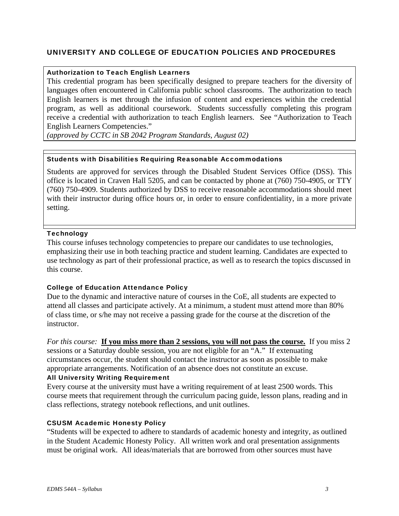### UNIVERSITY AND COLLEGE OF EDUCATION POLICIES AND PROCEDURES

### Authorization to Teach English Learners

This credential program has been specifically designed to prepare teachers for the diversity of languages often encountered in California public school classrooms. The authorization to teach English learners is met through the infusion of content and experiences within the credential program, as well as additional coursework. Students successfully completing this program receive a credential with authorization to teach English learners. See "Authorization to Teach English Learners Competencies."

 *(approved by CCTC in SB 2042 Program Standards, August 02)* 

### Students with Disabilities Requiring Reasonable Accommodations

Students are approved for services through the Disabled Student Services Office (DSS). This office is located in Craven Hall 5205, and can be contacted by phone at (760) 750-4905, or TTY (760) 750-4909. Students authorized by DSS to receive reasonable accommodations should meet with their instructor during office hours or, in order to ensure confidentiality, in a more private setting.

#### **Technology**

This course infuses technology competencies to prepare our candidates to use technologies, emphasizing their use in both teaching practice and student learning. Candidates are expected to use technology as part of their professional practice, as well as to research the topics discussed in this course.

### College of Education Attendance Policy

Due to the dynamic and interactive nature of courses in the CoE, all students are expected to attend all classes and participate actively. At a minimum, a student must attend more than 80% of class time, or s/he may not receive a passing grade for the course at the discretion of the instructor.

*For this course:* **If you miss more than 2 sessions, you will not pass the course.** If you miss 2 sessions or a Saturday double session, you are not eligible for an "A." If extenuating circumstances occur, the student should contact the instructor as soon as possible to make appropriate arrangements. Notification of an absence does not constitute an excuse.

### All University Writing Requirement

Every course at the university must have a writing requirement of at least 2500 words. This course meets that requirement through the curriculum pacing guide, lesson plans, reading and in class reflections, strategy notebook reflections, and unit outlines.

### CSUSM Academic Honesty Policy

"Students will be expected to adhere to standards of academic honesty and integrity, as outlined in the Student Academic Honesty Policy. All written work and oral presentation assignments must be original work. All ideas/materials that are borrowed from other sources must have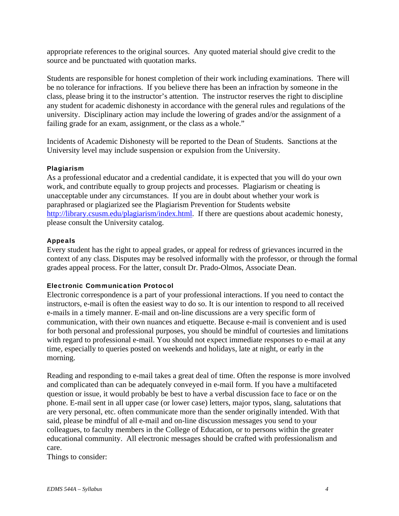appropriate references to the original sources. Any quoted material should give credit to the source and be punctuated with quotation marks.

Students are responsible for honest completion of their work including examinations. There will be no tolerance for infractions. If you believe there has been an infraction by someone in the class, please bring it to the instructor's attention. The instructor reserves the right to discipline any student for academic dishonesty in accordance with the general rules and regulations of the university. Disciplinary action may include the lowering of grades and/or the assignment of a failing grade for an exam, assignment, or the class as a whole."

Incidents of Academic Dishonesty will be reported to the Dean of Students. Sanctions at the University level may include suspension or expulsion from the University.

### Plagiarism

As a professional educator and a credential candidate, it is expected that you will do your own work, and contribute equally to group projects and processes. Plagiarism or cheating is unacceptable under any circumstances. If you are in doubt about whether your work is paraphrased or plagiarized see the Plagiarism Prevention for Students website http://library.csusm.edu/plagiarism/index.html. If there are questions about academic honesty, please consult the University catalog.

### Appeals

Every student has the right to appeal grades, or appeal for redress of grievances incurred in the context of any class. Disputes may be resolved informally with the professor, or through the formal grades appeal process. For the latter, consult Dr. Prado-Olmos, Associate Dean.

### Electronic Communication Protocol

Electronic correspondence is a part of your professional interactions. If you need to contact the instructors, e-mail is often the easiest way to do so. It is our intention to respond to all received e-mails in a timely manner. E-mail and on-line discussions are a very specific form of communication, with their own nuances and etiquette. Because e-mail is convenient and is used for both personal and professional purposes, you should be mindful of courtesies and limitations with regard to professional e-mail. You should not expect immediate responses to e-mail at any time, especially to queries posted on weekends and holidays, late at night, or early in the morning.

Reading and responding to e-mail takes a great deal of time. Often the response is more involved and complicated than can be adequately conveyed in e-mail form. If you have a multifaceted question or issue, it would probably be best to have a verbal discussion face to face or on the phone. E-mail sent in all upper case (or lower case) letters, major typos, slang, salutations that are very personal, etc. often communicate more than the sender originally intended. With that said, please be mindful of all e-mail and on-line discussion messages you send to your colleagues, to faculty members in the College of Education, or to persons within the greater educational community. All electronic messages should be crafted with professionalism and care.

Things to consider: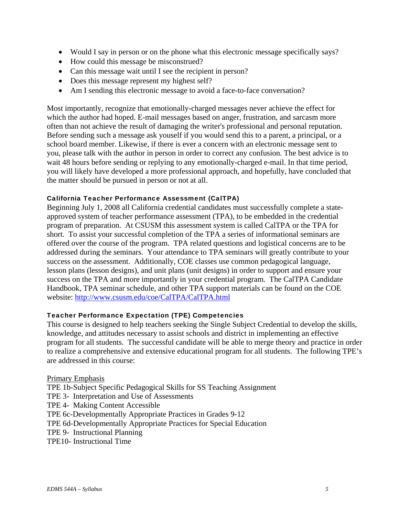- Would I say in person or on the phone what this electronic message specifically says?
- How could this message be misconstrued?
- Can this message wait until I see the recipient in person?
- Does this message represent my highest self?
- Am I sending this electronic message to avoid a face-to-face conversation?

Most importantly, recognize that emotionally-charged messages never achieve the effect for which the author had hoped. E-mail messages based on anger, frustration, and sarcasm more often than not achieve the result of damaging the writer's professional and personal reputation. Before sending such a message ask youself if you would send this to a parent, a principal, or a school board member. Likewise, if there is ever a concern with an electronic message sent to you, please talk with the author in person in order to correct any confusion. The best advice is to wait 48 hours before sending or replying to any emotionally-charged e-mail. In that time period, you will likely have developed a more professional approach, and hopefully, have concluded that the matter should be pursued in person or not at all.

### California Teacher Performance Assessment (CalTPA)

Beginning July 1, 2008 all California credential candidates must successfully complete a stateapproved system of teacher performance assessment (TPA), to be embedded in the credential program of preparation. At CSUSM this assessment system is called CalTPA or the TPA for short. To assist your successful completion of the TPA a series of informational seminars are offered over the course of the program. TPA related questions and logistical concerns are to be addressed during the seminars. Your attendance to TPA seminars will greatly contribute to your success on the assessment. Additionally, COE classes use common pedagogical language, lesson plans (lesson designs), and unit plans (unit designs) in order to support and ensure your success on the TPA and more importantly in your credential program. The CalTPA Candidate Handbook, TPA seminar schedule, and other TPA support materials can be found on the COE website: http://www.csusm.edu/coe/CalTPA/CalTPA.html

### Teacher Performance Expectation (TPE) Competencies

This course is designed to help teachers seeking the Single Subject Credential to develop the skills, knowledge, and attitudes necessary to assist schools and district in implementing an effective program for all students. The successful candidate will be able to merge theory and practice in order to realize a comprehensive and extensive educational program for all students. The following TPE's are addressed in this course:

### Primary Emphasis

TPE 1b-Subject Specific Pedagogical Skills for SS Teaching Assignment

- TPE 3- Interpretation and Use of Assessments
- TPE 4- Making Content Accessible
- TPE 6c-Developmentally Appropriate Practices in Grades 9-12
- TPE 6d-Developmentally Appropriate Practices for Special Education
- TPE 9- Instructional Planning
- TPE10- Instructional Time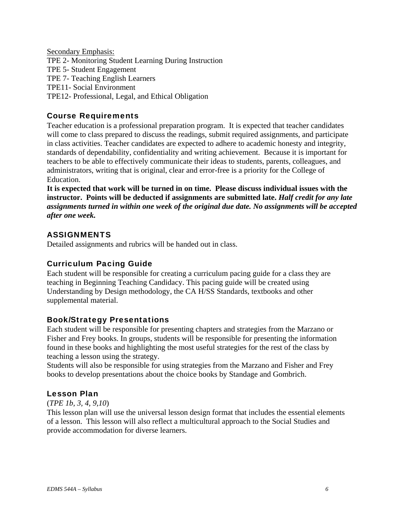Secondary Emphasis: TPE 2- Monitoring Student Learning During Instruction TPE 5- Student Engagement TPE 7- Teaching English Learners TPE11- Social Environment TPE12- Professional, Legal, and Ethical Obligation

# Course Requirements

Teacher education is a professional preparation program. It is expected that teacher candidates will come to class prepared to discuss the readings, submit required assignments, and participate in class activities. Teacher candidates are expected to adhere to academic honesty and integrity, standards of dependability, confidentiality and writing achievement. Because it is important for teachers to be able to effectively communicate their ideas to students, parents, colleagues, and administrators, writing that is original, clear and error-free is a priority for the College of Education.

 *after one week.* **It is expected that work will be turned in on time. Please discuss individual issues with the instructor. Points will be deducted if assignments are submitted late.** *Half credit for any late assignments turned in within one week of the original due date. No assignments will be accepted* 

# **ASSIGNMENTS**

Detailed assignments and rubrics will be handed out in class.

## Curriculum Pacing Guide

Each student will be responsible for creating a curriculum pacing guide for a class they are teaching in Beginning Teaching Candidacy. This pacing guide will be created using Understanding by Design methodology, the CA H/SS Standards, textbooks and other supplemental material.

# Book/Strategy Presentations

Each student will be responsible for presenting chapters and strategies from the Marzano or Fisher and Frey books. In groups, students will be responsible for presenting the information found in these books and highlighting the most useful strategies for the rest of the class by teaching a lesson using the strategy.

Students will also be responsible for using strategies from the Marzano and Fisher and Frey books to develop presentations about the choice books by Standage and Gombrich.

## Lesson Plan

### (*TPE 1b, 3, 4, 9,10*)

This lesson plan will use the universal lesson design format that includes the essential elements of a lesson. This lesson will also reflect a multicultural approach to the Social Studies and provide accommodation for diverse learners.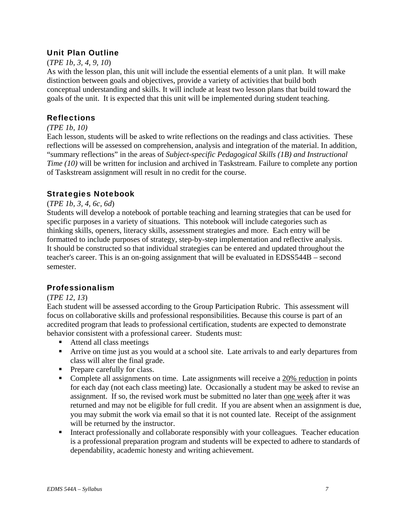# Unit Plan Outline

### (*TPE 1b, 3, 4, 9, 10*)

As with the lesson plan, this unit will include the essential elements of a unit plan. It will make distinction between goals and objectives, provide a variety of activities that build both conceptual understanding and skills. It will include at least two lesson plans that build toward the goals of the unit. It is expected that this unit will be implemented during student teaching.

# **Reflections**

### *(TPE 1b, 10)*

Each lesson, students will be asked to write reflections on the readings and class activities. These reflections will be assessed on comprehension, analysis and integration of the material. In addition, "summary reflections" in the areas of *Subject-specific Pedagogical Skills (1B) and Instructional Time (10)* will be written for inclusion and archived in Taskstream. Failure to complete any portion of Taskstream assignment will result in no credit for the course.

## Strategies Notebook

### (*TPE 1b, 3, 4, 6c, 6d*)

Students will develop a notebook of portable teaching and learning strategies that can be used for specific purposes in a variety of situations. This notebook will include categories such as thinking skills, openers, literacy skills, assessment strategies and more. Each entry will be formatted to include purposes of strategy, step-by-step implementation and reflective analysis. It should be constructed so that individual strategies can be entered and updated throughout the teacher's career. This is an on-going assignment that will be evaluated in EDSS544B – second semester.

# Professionalism

## (*TPE 12, 13*)

Each student will be assessed according to the Group Participation Rubric. This assessment will focus on collaborative skills and professional responsibilities. Because this course is part of an accredited program that leads to professional certification, students are expected to demonstrate behavior consistent with a professional career. Students must:

- Attend all class meetings
- Arrive on time just as you would at a school site. Late arrivals to and early departures from class will alter the final grade.
- Prepare carefully for class.
- Complete all assignments on time. Late assignments will receive a 20% reduction in points for each day (not each class meeting) late. Occasionally a student may be asked to revise an assignment. If so, the revised work must be submitted no later than one week after it was returned and may not be eligible for full credit. If you are absent when an assignment is due, you may submit the work via email so that it is not counted late. Receipt of the assignment will be returned by the instructor.
- Interact professionally and collaborate responsibly with your colleagues. Teacher education is a professional preparation program and students will be expected to adhere to standards of dependability, academic honesty and writing achievement.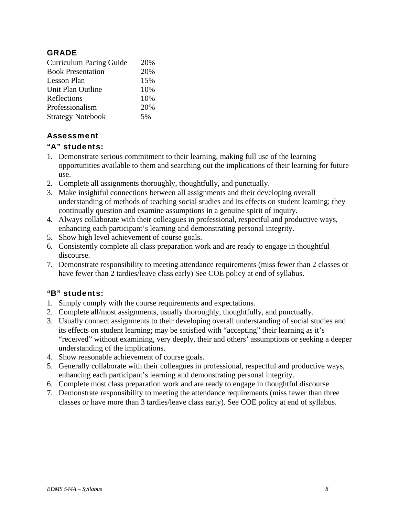# **GRADE**

| 20% |
|-----|
| 20% |
| 15% |
| 10% |
| 10% |
| 20% |
| 5%  |
|     |

# Assessment

# "A" students:

- 1. Demonstrate serious commitment to their learning, making full use of the learning opportunities available to them and searching out the implications of their learning for future use.
- 2. Complete all assignments thoroughly, thoughtfully, and punctually.
- 3. Make insightful connections between all assignments and their developing overall understanding of methods of teaching social studies and its effects on student learning; they continually question and examine assumptions in a genuine spirit of inquiry.
- 4. Always collaborate with their colleagues in professional, respectful and productive ways, enhancing each participant's learning and demonstrating personal integrity.
- 5. Show high level achievement of course goals.
- 6. Consistently complete all class preparation work and are ready to engage in thoughtful discourse.
- 7. Demonstrate responsibility to meeting attendance requirements (miss fewer than 2 classes or have fewer than 2 tardies/leave class early) See COE policy at end of syllabus.

# "B" students:

- 1. Simply comply with the course requirements and expectations.
- 2. Complete all/most assignments, usually thoroughly, thoughtfully, and punctually.
- 3. Usually connect assignments to their developing overall understanding of social studies and its effects on student learning; may be satisfied with "accepting" their learning as it's "received" without examining, very deeply, their and others' assumptions or seeking a deeper understanding of the implications.
- 4. Show reasonable achievement of course goals.
- 5. Generally collaborate with their colleagues in professional, respectful and productive ways, enhancing each participant's learning and demonstrating personal integrity.
- 6. Complete most class preparation work and are ready to engage in thoughtful discourse
- 7. Demonstrate responsibility to meeting the attendance requirements (miss fewer than three classes or have more than 3 tardies/leave class early). See COE policy at end of syllabus.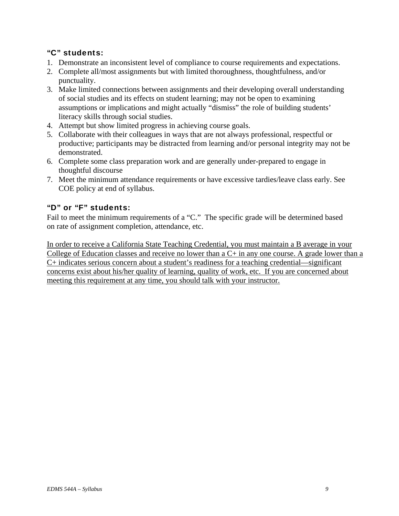# "C" students:

- 1. Demonstrate an inconsistent level of compliance to course requirements and expectations.
- 2. Complete all/most assignments but with limited thoroughness, thoughtfulness, and/or punctuality.
- 3. Make limited connections between assignments and their developing overall understanding of social studies and its effects on student learning; may not be open to examining assumptions or implications and might actually "dismiss" the role of building students' literacy skills through social studies.
- 4. Attempt but show limited progress in achieving course goals.
- 5. Collaborate with their colleagues in ways that are not always professional, respectful or productive; participants may be distracted from learning and/or personal integrity may not be demonstrated.
- 6. Complete some class preparation work and are generally under-prepared to engage in thoughtful discourse
- 7. Meet the minimum attendance requirements or have excessive tardies/leave class early. See COE policy at end of syllabus.

# "D" or "F" students:

Fail to meet the minimum requirements of a "C." The specific grade will be determined based on rate of assignment completion, attendance, etc.

In order to receive a California State Teaching Credential, you must maintain a B average in your College of Education classes and receive no lower than a C+ in any one course. A grade lower than a C+ indicates serious concern about a student's readiness for a teaching credential—significant concerns exist about his/her quality of learning, quality of work, etc. If you are concerned about meeting this requirement at any time, you should talk with your instructor.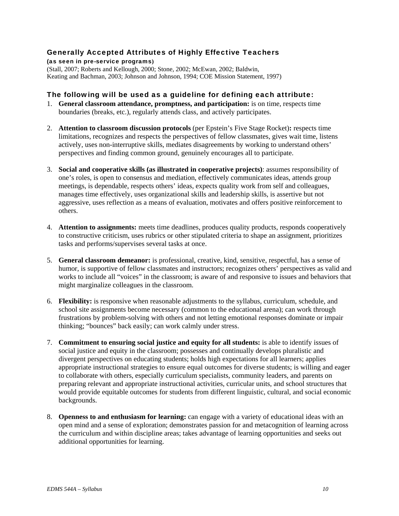### Generally Accepted Attributes of Highly Effective Teachers

(as seen in pre-service programs**)**  (Stall, 2007; Roberts and Kellough, 2000; Stone, 2002; McEwan, 2002; Baldwin, Keating and Bachman, 2003; Johnson and Johnson, 1994; COE Mission Statement, 1997)

### The following will be used as a guideline for defining each attribute:

- 1. **General classroom attendance, promptness, and participation:** is on time, respects time boundaries (breaks, etc.), regularly attends class, and actively participates.
- 2. **Attention to classroom discussion protocols** (per Epstein's Five Stage Rocket)**:** respects time limitations, recognizes and respects the perspectives of fellow classmates, gives wait time, listens actively, uses non-interruptive skills, mediates disagreements by working to understand others' perspectives and finding common ground, genuinely encourages all to participate.
- 3. **Social and cooperative skills (as illustrated in cooperative projects)**: assumes responsibility of one's roles, is open to consensus and mediation, effectively communicates ideas, attends group meetings, is dependable, respects others' ideas, expects quality work from self and colleagues, manages time effectively, uses organizational skills and leadership skills, is assertive but not aggressive, uses reflection as a means of evaluation, motivates and offers positive reinforcement to others.
- 4. **Attention to assignments:** meets time deadlines, produces quality products, responds cooperatively to constructive criticism, uses rubrics or other stipulated criteria to shape an assignment, prioritizes tasks and performs/supervises several tasks at once.
- 5. **General classroom demeanor:** is professional, creative, kind, sensitive, respectful, has a sense of humor, is supportive of fellow classmates and instructors; recognizes others' perspectives as valid and works to include all "voices" in the classroom; is aware of and responsive to issues and behaviors that might marginalize colleagues in the classroom.
- 6. **Flexibility:** is responsive when reasonable adjustments to the syllabus, curriculum, schedule, and school site assignments become necessary (common to the educational arena); can work through frustrations by problem-solving with others and not letting emotional responses dominate or impair thinking; "bounces" back easily; can work calmly under stress.
- 7. **Commitment to ensuring social justice and equity for all students:** is able to identify issues of social justice and equity in the classroom; possesses and continually develops pluralistic and divergent perspectives on educating students; holds high expectations for all learners; applies appropriate instructional strategies to ensure equal outcomes for diverse students; is willing and eager to collaborate with others, especially curriculum specialists, community leaders, and parents on preparing relevant and appropriate instructional activities, curricular units, and school structures that would provide equitable outcomes for students from different linguistic, cultural, and social economic backgrounds.
- 8. **Openness to and enthusiasm for learning:** can engage with a variety of educational ideas with an open mind and a sense of exploration; demonstrates passion for and metacognition of learning across the curriculum and within discipline areas; takes advantage of learning opportunities and seeks out additional opportunities for learning.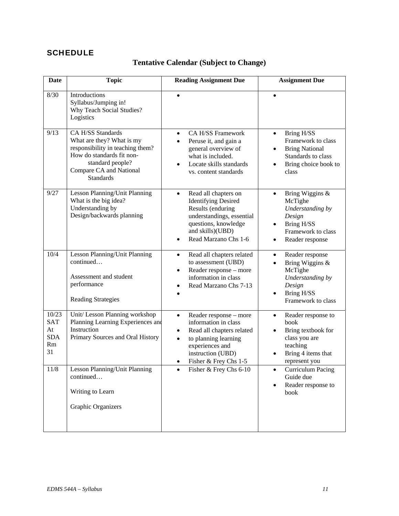# **SCHEDULE**

# **Tentative Calendar (Subject to Change)**

| <b>Date</b>                                         | <b>Topic</b>                                                                                                                                                                       | <b>Reading Assignment Due</b>                                                                                                                                                                                            | <b>Assignment Due</b>                                                                                                             |
|-----------------------------------------------------|------------------------------------------------------------------------------------------------------------------------------------------------------------------------------------|--------------------------------------------------------------------------------------------------------------------------------------------------------------------------------------------------------------------------|-----------------------------------------------------------------------------------------------------------------------------------|
| 8/30                                                | Introductions<br>Syllabus/Jumping in!<br>Why Teach Social Studies?<br>Logistics                                                                                                    | $\bullet$                                                                                                                                                                                                                |                                                                                                                                   |
| 9/13                                                | CA H/SS Standards<br>What are they? What is my<br>responsibility in teaching them?<br>How do standards fit non-<br>standard people?<br>Compare CA and National<br><b>Standards</b> | <b>CA H/SS Framework</b><br>$\bullet$<br>Peruse it, and gain a<br>general overview of<br>what is included.<br>Locate skills standards<br>vs. content standards                                                           | Bring H/SS<br>$\bullet$<br>Framework to class<br><b>Bring National</b><br>Standards to class<br>Bring choice book to<br>class     |
| 9/27                                                | Lesson Planning/Unit Planning<br>What is the big idea?<br>Understanding by<br>Design/backwards planning                                                                            | Read all chapters on<br>$\bullet$<br><b>Identifying Desired</b><br>Results (enduring<br>understandings, essential<br>questions, knowledge<br>and skills)(UBD)<br>Read Marzano Chs 1-6                                    | Bring Wiggins &<br>$\bullet$<br>McTighe<br>Understanding by<br>Design<br>Bring H/SS<br>Framework to class<br>Reader response      |
| 10/4                                                | Lesson Planning/Unit Planning<br>continued<br>Assessment and student<br>performance<br><b>Reading Strategies</b>                                                                   | Read all chapters related<br>$\bullet$<br>to assessment (UBD)<br>Reader response - more<br>$\bullet$<br>information in class<br>Read Marzano Chs 7-13                                                                    | Reader response<br>$\bullet$<br>Bring Wiggins &<br>McTighe<br>Understanding by<br>Design<br>Bring H/SS<br>Framework to class      |
| 10/23<br><b>SAT</b><br>At<br><b>SDA</b><br>Rm<br>31 | Unit/ Lesson Planning workshop<br>Planning Learning Experiences and<br>Instruction<br>Primary Sources and Oral History                                                             | Reader response - more<br>$\bullet$<br>information in class<br>Read all chapters related<br>$\bullet$<br>to planning learning<br>$\bullet$<br>experiences and<br>instruction (UBD)<br>Fisher & Frey Chs 1-5<br>$\bullet$ | Reader response to<br>$\bullet$<br>book<br>Bring textbook for<br>class you are<br>teaching<br>Bring 4 items that<br>represent you |
| 11/8                                                | Lesson Planning/Unit Planning<br>continued<br>Writing to Learn<br><b>Graphic Organizers</b>                                                                                        | Fisher & Frey Chs 6-10                                                                                                                                                                                                   | <b>Curriculum Pacing</b><br>Guide due<br>Reader response to<br>book                                                               |